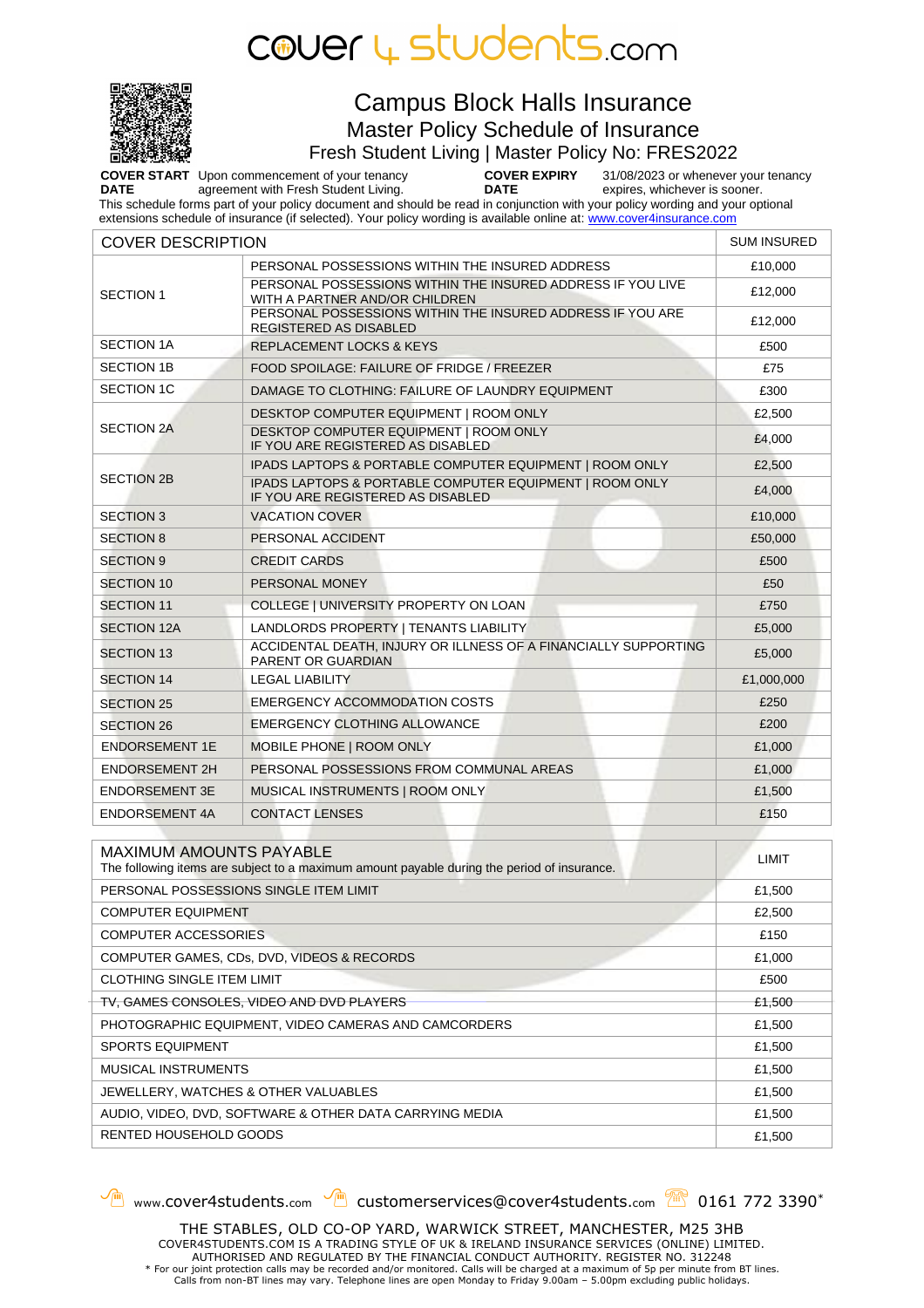



### Campus Block Halls Insurance Master Policy Schedule of Insurance

Fresh Student Living | Master Policy No: FRES2022

**COVER START**  Upon commencement of your tenancy **DATE** agreement with Fresh Student Living. **COVER EXPIRY DATE** 31/08/2023 or whenever your tenancy expires, whichever is sooner. This schedule forms part of your policy document and should be read in conjunction with your policy wording and your optional

extensions schedule of insurance (if selected). Your policy wording is available online at: [www.cover4insurance.com](http://www.cover4insurance.com/)

| <b>COVER DESCRIPTION</b>                                |                                                                                               | <b>SUM INSURED</b> |
|---------------------------------------------------------|-----------------------------------------------------------------------------------------------|--------------------|
|                                                         | PERSONAL POSSESSIONS WITHIN THE INSURED ADDRESS                                               | £10,000            |
| <b>SECTION 1</b>                                        | PERSONAL POSSESSIONS WITHIN THE INSURED ADDRESS IF YOU LIVE<br>WITH A PARTNER AND/OR CHILDREN | £12,000            |
|                                                         | PERSONAL POSSESSIONS WITHIN THE INSURED ADDRESS IF YOU ARE<br><b>REGISTERED AS DISABLED</b>   | £12,000            |
| <b>SECTION 1A</b>                                       | <b>REPLACEMENT LOCKS &amp; KEYS</b>                                                           | £500               |
| <b>SECTION 1B</b>                                       | FOOD SPOILAGE: FAILURE OF FRIDGE / FREEZER                                                    | £75                |
| <b>SECTION 1C</b>                                       | DAMAGE TO CLOTHING: FAILURE OF LAUNDRY EQUIPMENT                                              | £300               |
| <b>SECTION 2A</b>                                       | DESKTOP COMPUTER EQUIPMENT   ROOM ONLY                                                        | £2,500             |
|                                                         | DESKTOP COMPUTER EQUIPMENT   ROOM ONLY<br>IF YOU ARE REGISTERED AS DISABLED                   | £4,000             |
|                                                         | IPADS LAPTOPS & PORTABLE COMPUTER EQUIPMENT   ROOM ONLY                                       | £2,500             |
| <b>SECTION 2B</b>                                       | IPADS LAPTOPS & PORTABLE COMPUTER EQUIPMENT   ROOM ONLY<br>IF YOU ARE REGISTERED AS DISABLED  | £4,000             |
| <b>SECTION 3</b>                                        | <b>VACATION COVER</b>                                                                         | £10,000            |
| <b>SECTION 8</b>                                        | PERSONAL ACCIDENT                                                                             | £50,000            |
| <b>SECTION 9</b>                                        | <b>CREDIT CARDS</b>                                                                           | £500               |
| <b>SECTION 10</b>                                       | PERSONAL MONEY                                                                                | £50                |
| <b>SECTION 11</b>                                       | COLLEGE   UNIVERSITY PROPERTY ON LOAN                                                         | £750               |
| SECTION 12A                                             | LANDLORDS PROPERTY   TENANTS LIABILITY                                                        | £5,000             |
| <b>SECTION 13</b>                                       | ACCIDENTAL DEATH, INJURY OR ILLNESS OF A FINANCIALLY SUPPORTING<br><b>PARENT OR GUARDIAN</b>  | £5,000             |
| <b>SECTION 14</b>                                       | <b>LEGAL LIABILITY</b>                                                                        | £1,000,000         |
| <b>SECTION 25</b>                                       | <b>EMERGENCY ACCOMMODATION COSTS</b>                                                          | £250               |
| <b>SECTION 26</b>                                       | <b>EMERGENCY CLOTHING ALLOWANCE</b>                                                           | £200               |
| <b>ENDORSEMENT 1E</b>                                   | MOBILE PHONE   ROOM ONLY                                                                      | £1,000             |
| <b>ENDORSEMENT 2H</b>                                   | PERSONAL POSSESSIONS FROM COMMUNAL AREAS                                                      | £1,000             |
| <b>ENDORSEMENT 3E</b>                                   | MUSICAL INSTRUMENTS   ROOM ONLY                                                               | £1,500             |
| <b>ENDORSEMENT 4A</b>                                   | <b>CONTACT LENSES</b>                                                                         | £150               |
| <b>MAXIMUM AMOUNTS PAYABLE</b>                          |                                                                                               |                    |
|                                                         | The following items are subject to a maximum amount payable during the period of insurance.   | <b>LIMIT</b>       |
| PERSONAL POSSESSIONS SINGLE ITEM LIMIT                  |                                                                                               | £1,500             |
| <b>COMPUTER EQUIPMENT</b>                               |                                                                                               | £2,500             |
| COMPUTER ACCESSORIES                                    |                                                                                               | £150               |
| COMPUTER GAMES, CDs, DVD, VIDEOS & RECORDS              |                                                                                               | £1,000             |
| CLOTHING SINGLE ITEM LIMIT                              |                                                                                               | £500               |
| TV, GAMES CONSOLES, VIDEO AND DVD PLAYERS               |                                                                                               | £1,500             |
| PHOTOGRAPHIC EQUIPMENT, VIDEO CAMERAS AND CAMCORDERS    |                                                                                               | £1,500             |
| <b>SPORTS EQUIPMENT</b>                                 |                                                                                               | £1,500             |
| MUSICAL INSTRUMENTS                                     |                                                                                               | £1,500             |
| JEWELLERY, WATCHES & OTHER VALUABLES                    |                                                                                               | £1,500             |
| AUDIO, VIDEO, DVD, SOFTWARE & OTHER DATA CARRYING MEDIA |                                                                                               | £1,500             |

RENTED HOUSEHOLD GOODS **E1,500** 

www.cover4students.com  $\sqrt{m}$  customerservices@cover4students.com  $\sqrt{m}$  0161 772 3390<sup>\*</sup>

THE STABLES, OLD CO-OP YARD, WARWICK STREET, MANCHESTER, M25 3HB COVER4STUDENTS.COM IS A TRADING STYLE OF UK & IRELAND INSURANCE SERVICES (ONLINE) LIMITED. AUTHORISED AND REGULATED BY THE FINANCIAL CONDUCT AUTHORITY. REGISTER NO. 312248 \* For our joint protection calls may be recorded and/or monitored. Calls will be charged at a maximum of 5p per minute from BT lines. Calls from non-BT lines may vary. Telephone lines are open Monday to Friday 9.00am – 5.00pm excluding public holidays.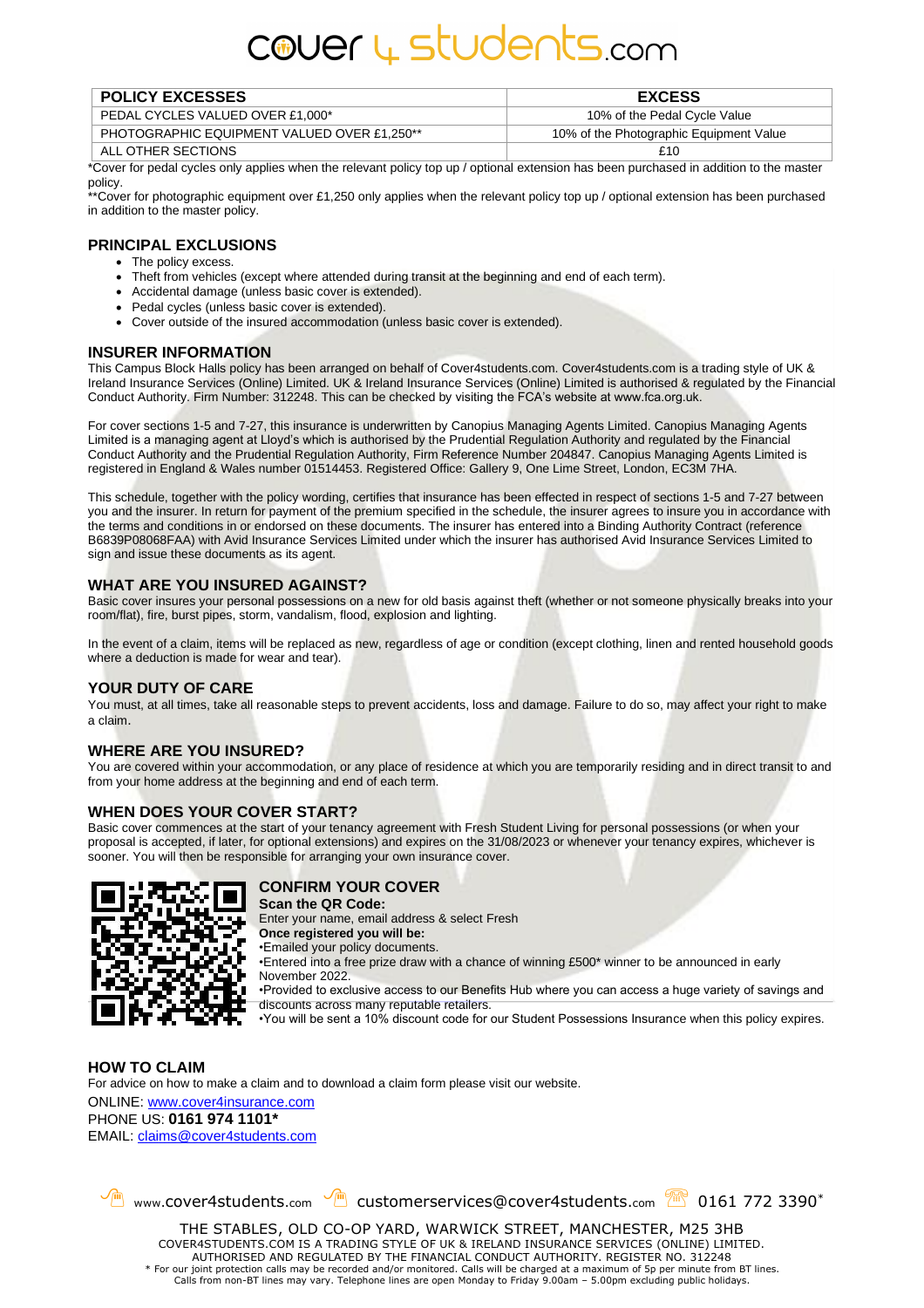# cover 4 students.com

| <b>POLICY EXCESSES</b>                             | <b>EXCESS</b>                           |
|----------------------------------------------------|-----------------------------------------|
| PEDAL CYCLES VALUED OVER £1,000*                   | 10% of the Pedal Cycle Value            |
| <b>PHOTOGRAPHIC EQUIPMENT VALUED OVER £1,250**</b> | 10% of the Photographic Equipment Value |
| ALL OTHER SECTIONS                                 | 41 F                                    |

\*Cover for pedal cycles only applies when the relevant policy top up / optional extension has been purchased in addition to the master policy.

\*\*Cover for photographic equipment over £1,250 only applies when the relevant policy top up / optional extension has been purchased in addition to the master policy.

#### **PRINCIPAL EXCLUSIONS**

- The policy excess.
- Theft from vehicles (except where attended during transit at the beginning and end of each term).
- Accidental damage (unless basic cover is extended).
- Pedal cycles (unless basic cover is extended).
- Cover outside of the insured accommodation (unless basic cover is extended).

#### **INSURER INFORMATION**

This Campus Block Halls policy has been arranged on behalf of Cover4students.com. Cover4students.com is a trading style of UK & Ireland Insurance Services (Online) Limited. UK & Ireland Insurance Services (Online) Limited is authorised & regulated by the Financial Conduct Authority. Firm Number: 312248. This can be checked by visiting the FCA's website at www.fca.org.uk.

For cover sections 1-5 and 7-27, this insurance is underwritten by Canopius Managing Agents Limited. Canopius Managing Agents Limited is a managing agent at Lloyd's which is authorised by the Prudential Regulation Authority and regulated by the Financial Conduct Authority and the Prudential Regulation Authority, Firm Reference Number 204847. Canopius Managing Agents Limited is registered in England & Wales number 01514453. Registered Office: Gallery 9, One Lime Street, London, EC3M 7HA.

This schedule, together with the policy wording, certifies that insurance has been effected in respect of sections 1-5 and 7-27 between you and the insurer. In return for payment of the premium specified in the schedule, the insurer agrees to insure you in accordance with the terms and conditions in or endorsed on these documents. The insurer has entered into a Binding Authority Contract (reference B6839P08068FAA) with Avid Insurance Services Limited under which the insurer has authorised Avid Insurance Services Limited to sign and issue these documents as its agent.

#### **WHAT ARE YOU INSURED AGAINST?**

Basic cover insures your personal possessions on a new for old basis against theft (whether or not someone physically breaks into your room/flat), fire, burst pipes, storm, vandalism, flood, explosion and lighting.

In the event of a claim, items will be replaced as new, regardless of age or condition (except clothing, linen and rented household goods where a deduction is made for wear and tear).

#### **YOUR DUTY OF CARE**

You must, at all times, take all reasonable steps to prevent accidents, loss and damage. Failure to do so, may affect your right to make a claim.

#### **WHERE ARE YOU INSURED?**

You are covered within your accommodation, or any place of residence at which you are temporarily residing and in direct transit to and from your home address at the beginning and end of each term.

#### **WHEN DOES YOUR COVER START?**

Basic cover commences at the start of your tenancy agreement with Fresh Student Living for personal possessions (or when your proposal is accepted, if later, for optional extensions) and expires on the 31/08/2023 or whenever your tenancy expires, whichever is sooner. You will then be responsible for arranging your own insurance cover.



#### **CONFIRM YOUR COVER**

**Scan the QR Code:**

Enter your name, email address & select Fresh **Once registered you will be:**

•Emailed your policy documents.

•Entered into a free prize draw with a chance of winning £500\* winner to be announced in early November 2022.

•Provided to exclusive access to our Benefits Hub where you can access a huge variety of savings and discounts across many reputable retailers.

•You will be sent a 10% discount code for our Student Possessions Insurance when this policy expires.

**HOW TO CLAIM** For advice on how to make a claim and to download a claim form please visit our website. ONLINE: [www.cover4insurance.com](http://www.cover4insurance.com/) PHONE US: **0161 974 1101\*** EMAIL[: claims@cover4students.com](mailto:claims@cover4students.com)

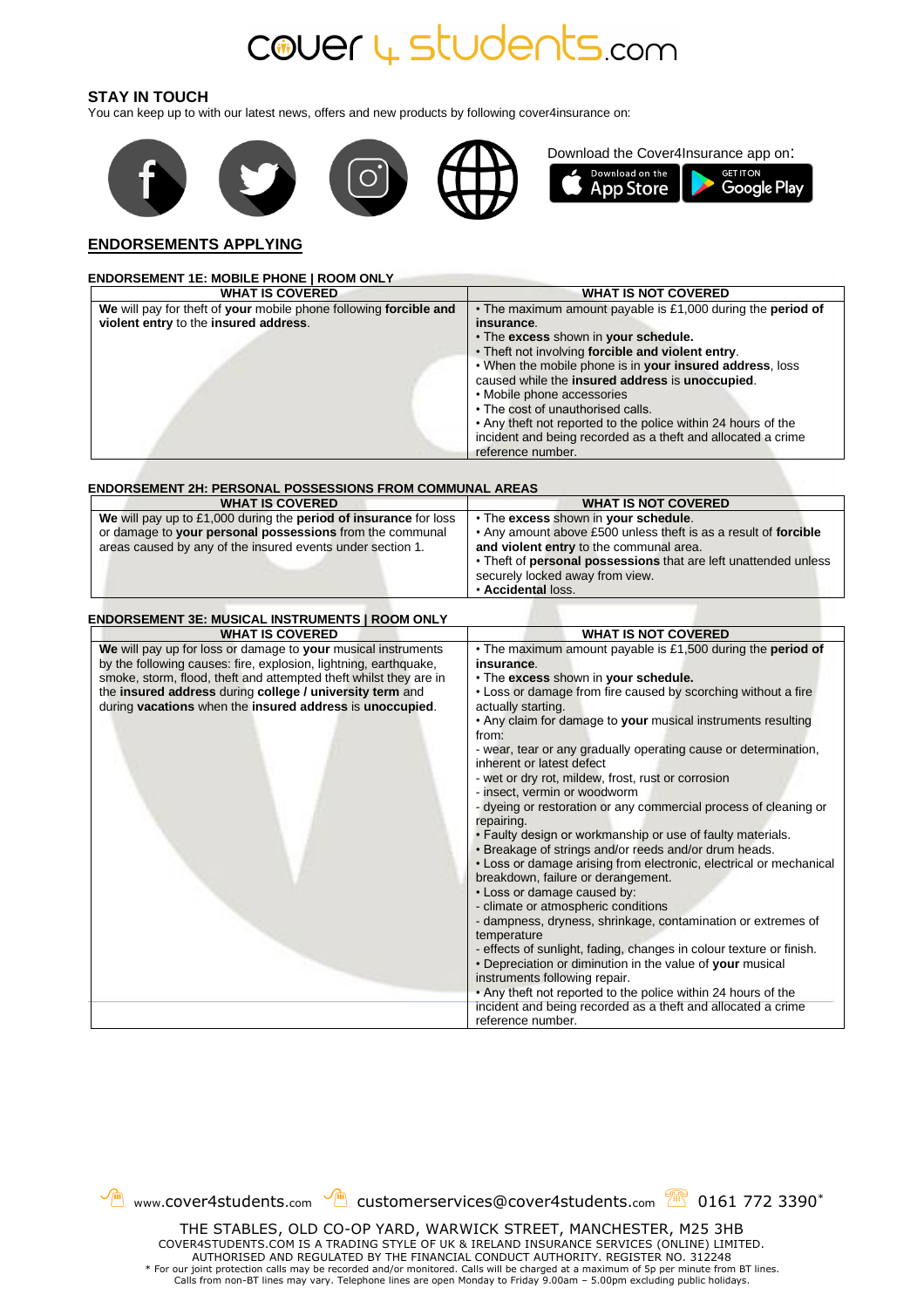## cover 4 students.com

#### **STAY IN TOUCH**

You can keep up to with our latest news, offers and new products by following cover4insurance on:



#### **ENDORSEMENTS APPLYING**

| <b>WHAT IS COVERED</b>                                                                                     | <b>WHAT IS NOT COVERED</b>                                                                                  |
|------------------------------------------------------------------------------------------------------------|-------------------------------------------------------------------------------------------------------------|
| We will pay for theft of your mobile phone following forcible and<br>violent entry to the insured address. | • The maximum amount payable is £1,000 during the period of<br>insurance.                                   |
|                                                                                                            | . The excess shown in your schedule.                                                                        |
|                                                                                                            | . Theft not involving forcible and violent entry.                                                           |
|                                                                                                            | . When the mobile phone is in your insured address, loss<br>caused while the insured address is unoccupied. |
|                                                                                                            | • Mobile phone accessories                                                                                  |
|                                                                                                            | • The cost of unauthorised calls.                                                                           |
|                                                                                                            | • Any theft not reported to the police within 24 hours of the                                               |
|                                                                                                            | incident and being recorded as a theft and allocated a crime<br>reference number.                           |
|                                                                                                            |                                                                                                             |
| ENDORSEMENT 2H: PERSONAL POSSESSIONS FROM COMMUNAL AREAS<br><b>WHAT IS COVERED</b>                         | <b>WHAT IS NOT COVERED</b>                                                                                  |
| We will pay up to £1,000 during the period of insurance for loss                                           | • The excess shown in your schedule.                                                                        |
| or damage to your personal possessions from the communal                                                   | . Any amount above £500 unless theft is as a result of forcible                                             |
| areas caused by any of the insured events under section 1.                                                 | and violent entry to the communal area.                                                                     |
|                                                                                                            | . Theft of personal possessions that are left unattended unless                                             |
|                                                                                                            | securely locked away from view.                                                                             |
|                                                                                                            | · Accidental loss.                                                                                          |
| <b>WHAT IS COVERED</b><br>We will pay up for loss or damage to your musical instruments                    | <b>WHAT IS NOT COVERED</b><br>. The maximum amount payable is £1,500 during the period of                   |
|                                                                                                            |                                                                                                             |
| by the following causes: fire, explosion, lightning, earthquake,                                           | insurance.                                                                                                  |
| smoke, storm, flood, theft and attempted theft whilst they are in                                          | • The excess shown in your schedule.                                                                        |
| the insured address during college / university term and                                                   | . Loss or damage from fire caused by scorching without a fire                                               |
| during vacations when the insured address is unoccupied.                                                   | actually starting.<br>• Any claim for damage to your musical instruments resulting                          |
|                                                                                                            | from:                                                                                                       |
|                                                                                                            | - wear, tear or any gradually operating cause or determination,                                             |
|                                                                                                            | inherent or latest defect                                                                                   |
|                                                                                                            | - wet or dry rot, mildew, frost, rust or corrosion                                                          |
|                                                                                                            | - insect, vermin or woodworm                                                                                |
|                                                                                                            | - dyeing or restoration or any commercial process of cleaning or<br>repairing.                              |
|                                                                                                            | . Faulty design or workmanship or use of faulty materials.                                                  |
|                                                                                                            | . Breakage of strings and/or reeds and/or drum heads.                                                       |
|                                                                                                            | • Loss or damage arising from electronic, electrical or mechanical<br>breakdown, failure or derangement.    |
|                                                                                                            | • Loss or damage caused by:                                                                                 |
|                                                                                                            | - climate or atmospheric conditions                                                                         |
|                                                                                                            | - dampness, dryness, shrinkage, contamination or extremes of<br>temperature                                 |
|                                                                                                            | - effects of sunlight, fading, changes in colour texture or finish.                                         |
|                                                                                                            | • Depreciation or diminution in the value of your musical                                                   |
|                                                                                                            | instruments following repair.                                                                               |
|                                                                                                            | • Any theft not reported to the police within 24 hours of the                                               |
|                                                                                                            | incident and being recorded as a theft and allocated a crime                                                |



reference number.

COVER4STUDENTS.COM IS A TRADING STYLE OF UK & IRELAND INSURANCE SERVICES (ONLINE) LIMITED. AUTHORISED AND REGULATED BY THE FINANCIAL CONDUCT AUTHORITY. REGISTER NO. 312248 \* For our joint protection calls may be recorded and/or monitored. Calls will be charged at a maximum of 5p per minute from BT lines. Calls from non-BT lines may vary. Telephone lines are open Monday to Friday 9.00am – 5.00pm excluding public holidays.